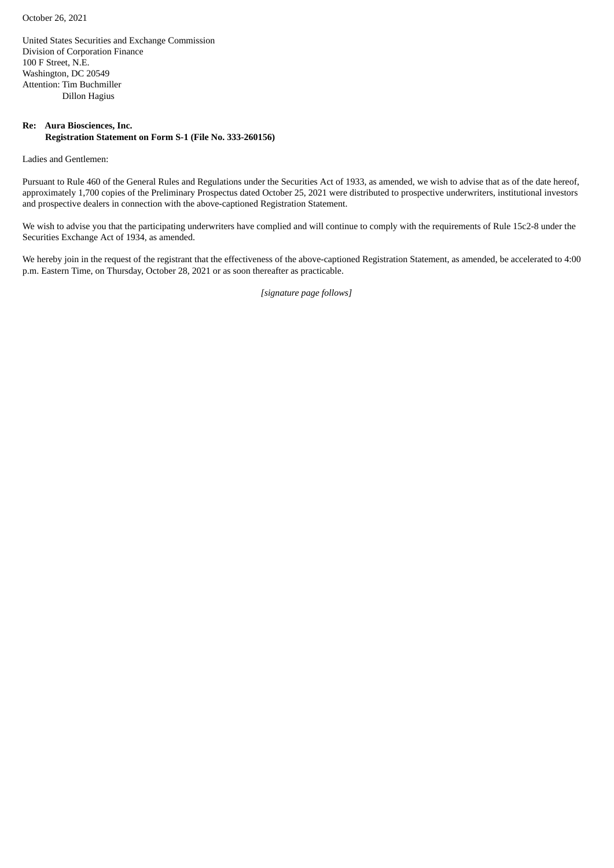October 26, 2021

United States Securities and Exchange Commission Division of Corporation Finance 100 F Street, N.E. Washington, DC 20549 Attention: Tim Buchmiller Dillon Hagius

#### **Re: Aura Biosciences, Inc. Registration Statement on Form S-1 (File No. 333-260156)**

Ladies and Gentlemen:

Pursuant to Rule 460 of the General Rules and Regulations under the Securities Act of 1933, as amended, we wish to advise that as of the date hereof, approximately 1,700 copies of the Preliminary Prospectus dated October 25, 2021 were distributed to prospective underwriters, institutional investors and prospective dealers in connection with the above-captioned Registration Statement.

We wish to advise you that the participating underwriters have complied and will continue to comply with the requirements of Rule 15c2-8 under the Securities Exchange Act of 1934, as amended.

We hereby join in the request of the registrant that the effectiveness of the above-captioned Registration Statement, as amended, be accelerated to 4:00 p.m. Eastern Time, on Thursday, October 28, 2021 or as soon thereafter as practicable.

*[signature page follows]*